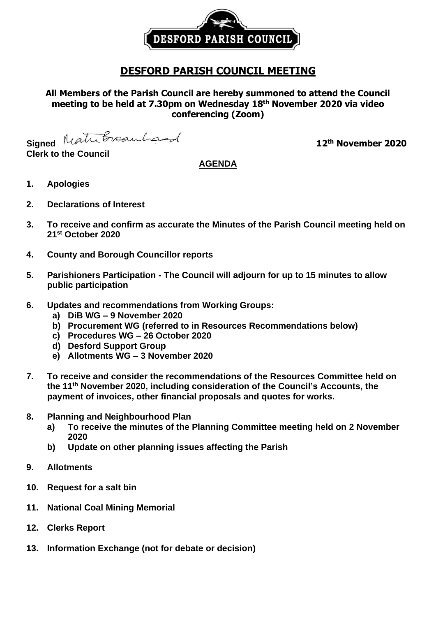

## **DESFORD PARISH COUNCIL MEETING**

**All Members of the Parish Council are hereby summoned to attend the Council meeting to be held at 7.30pm on Wednesday 18th November 2020 via video conferencing (Zoom)**

Signed Matribroauhound

**Clerk to the Council**

## **th November 2020**

## **AGENDA**

- **1. Apologies**
- **2. Declarations of Interest**
- **3. To receive and confirm as accurate the Minutes of the Parish Council meeting held on 21st October 2020**
- **4. County and Borough Councillor reports**
- **5. Parishioners Participation - The Council will adjourn for up to 15 minutes to allow public participation**
- **6. Updates and recommendations from Working Groups:**
	- **a) DiB WG – 9 November 2020**
	- **b) Procurement WG (referred to in Resources Recommendations below)**
	- **c) Procedures WG – 26 October 2020**
	- **d) Desford Support Group**
	- **e) Allotments WG – 3 November 2020**
- **7. To receive and consider the recommendations of the Resources Committee held on the 11 th November 2020, including consideration of the Council's Accounts, the payment of invoices, other financial proposals and quotes for works.**
- **8. Planning and Neighbourhood Plan**
	- **a) To receive the minutes of the Planning Committee meeting held on 2 November 2020**
	- **b) Update on other planning issues affecting the Parish**
- **9. Allotments**
- **10. Request for a salt bin**
- **11. National Coal Mining Memorial**
- **12. Clerks Report**
- **13. Information Exchange (not for debate or decision)**